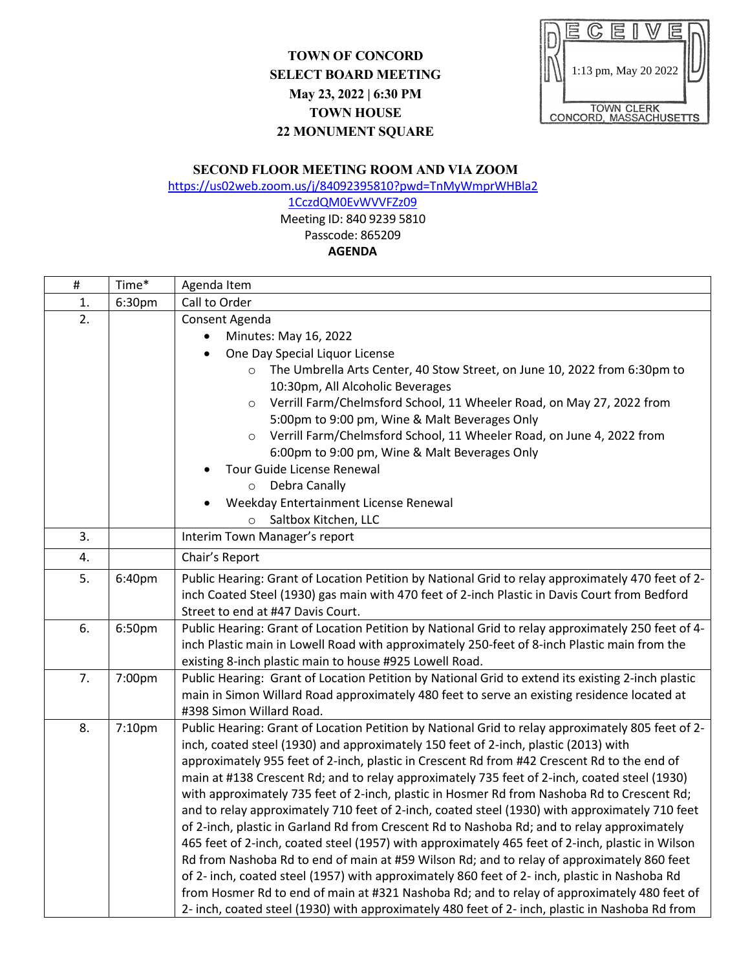## **TOWN OF CONCORD SELECT BOARD MEETING May 23, 2022 | 6:30 PM TOWN HOUSE 22 MONUMENT SQUARE**



## **SECOND FLOOR MEETING ROOM AND VIA ZOOM**

[https://us02web.zoom.us/j/84092395810?pwd=TnMyWmprWHBla2](https://us02web.zoom.us/j/84092395810?pwd=TnMyWmprWHBla21CczdQM0EvWVVFZz09)

[1CczdQM0EvWVVFZz09](https://us02web.zoom.us/j/84092395810?pwd=TnMyWmprWHBla21CczdQM0EvWVVFZz09) Meeting ID: 840 9239 5810 Passcode: 865209 **AGENDA**

| $\#$ | Time*  | Agenda Item                                                                                                                                                                                 |
|------|--------|---------------------------------------------------------------------------------------------------------------------------------------------------------------------------------------------|
| 1.   | 6:30pm | Call to Order                                                                                                                                                                               |
| 2.   |        | Consent Agenda                                                                                                                                                                              |
|      |        | Minutes: May 16, 2022                                                                                                                                                                       |
|      |        | One Day Special Liquor License                                                                                                                                                              |
|      |        | The Umbrella Arts Center, 40 Stow Street, on June 10, 2022 from 6:30pm to                                                                                                                   |
|      |        | 10:30pm, All Alcoholic Beverages                                                                                                                                                            |
|      |        | Verrill Farm/Chelmsford School, 11 Wheeler Road, on May 27, 2022 from<br>$\circ$                                                                                                            |
|      |        | 5:00pm to 9:00 pm, Wine & Malt Beverages Only                                                                                                                                               |
|      |        | Verrill Farm/Chelmsford School, 11 Wheeler Road, on June 4, 2022 from<br>$\circ$                                                                                                            |
|      |        | 6:00pm to 9:00 pm, Wine & Malt Beverages Only<br>Tour Guide License Renewal                                                                                                                 |
|      |        | Debra Canally<br>$\circ$                                                                                                                                                                    |
|      |        | Weekday Entertainment License Renewal                                                                                                                                                       |
|      |        | Saltbox Kitchen, LLC<br>$\circ$                                                                                                                                                             |
| 3.   |        | Interim Town Manager's report                                                                                                                                                               |
| 4.   |        | Chair's Report                                                                                                                                                                              |
| 5.   | 6:40pm | Public Hearing: Grant of Location Petition by National Grid to relay approximately 470 feet of 2-                                                                                           |
|      |        | inch Coated Steel (1930) gas main with 470 feet of 2-inch Plastic in Davis Court from Bedford                                                                                               |
|      |        | Street to end at #47 Davis Court.                                                                                                                                                           |
| 6.   | 6:50pm | Public Hearing: Grant of Location Petition by National Grid to relay approximately 250 feet of 4-                                                                                           |
|      |        | inch Plastic main in Lowell Road with approximately 250-feet of 8-inch Plastic main from the                                                                                                |
|      |        | existing 8-inch plastic main to house #925 Lowell Road.                                                                                                                                     |
| 7.   | 7:00pm | Public Hearing: Grant of Location Petition by National Grid to extend its existing 2-inch plastic                                                                                           |
|      |        | main in Simon Willard Road approximately 480 feet to serve an existing residence located at                                                                                                 |
|      |        | #398 Simon Willard Road.                                                                                                                                                                    |
| 8.   | 7:10pm | Public Hearing: Grant of Location Petition by National Grid to relay approximately 805 feet of 2-                                                                                           |
|      |        | inch, coated steel (1930) and approximately 150 feet of 2-inch, plastic (2013) with                                                                                                         |
|      |        | approximately 955 feet of 2-inch, plastic in Crescent Rd from #42 Crescent Rd to the end of                                                                                                 |
|      |        | main at #138 Crescent Rd; and to relay approximately 735 feet of 2-inch, coated steel (1930)<br>with approximately 735 feet of 2-inch, plastic in Hosmer Rd from Nashoba Rd to Crescent Rd; |
|      |        | and to relay approximately 710 feet of 2-inch, coated steel (1930) with approximately 710 feet                                                                                              |
|      |        | of 2-inch, plastic in Garland Rd from Crescent Rd to Nashoba Rd; and to relay approximately                                                                                                 |
|      |        | 465 feet of 2-inch, coated steel (1957) with approximately 465 feet of 2-inch, plastic in Wilson                                                                                            |
|      |        | Rd from Nashoba Rd to end of main at #59 Wilson Rd; and to relay of approximately 860 feet                                                                                                  |
|      |        | of 2- inch, coated steel (1957) with approximately 860 feet of 2- inch, plastic in Nashoba Rd                                                                                               |
|      |        | from Hosmer Rd to end of main at #321 Nashoba Rd; and to relay of approximately 480 feet of                                                                                                 |
|      |        | 2- inch, coated steel (1930) with approximately 480 feet of 2- inch, plastic in Nashoba Rd from                                                                                             |